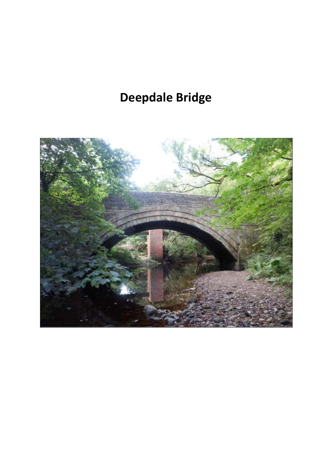## **Deepdale Bridge**

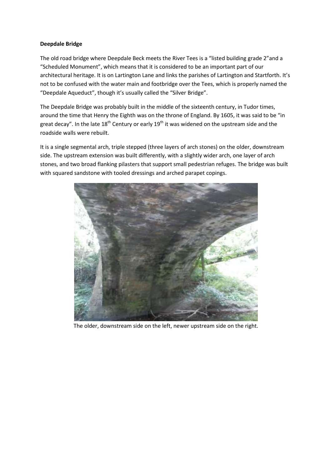## **Deepdale Bridge**

The old road bridge where Deepdale Beck meets the River Tees is a "listed building grade 2"and a "Scheduled Monument", which means that it is considered to be an important part of our architectural heritage. It is on Lartington Lane and links the parishes of Lartington and Startforth. It's not to be confused with the water main and footbridge over the Tees, which is properly named the "Deepdale Aqueduct", though it's usually called the "Silver Bridge".

The Deepdale Bridge was probably built in the middle of the sixteenth century, in Tudor times, around the time that Henry the Eighth was on the throne of England. By 1605, it was said to be "in great decay". In the late  $18^{th}$  Century or early  $19^{th}$  it was widened on the upstream side and the roadside walls were rebuilt.

It is a single segmental arch, triple stepped (three layers of arch stones) on the older, downstream side. The upstream extension was built differently, with a slightly wider arch, one layer of arch stones, and two broad flanking pilasters that support small pedestrian refuges. The bridge was built with squared sandstone with tooled dressings and arched parapet copings.



The older, downstream side on the left, newer upstream side on the right.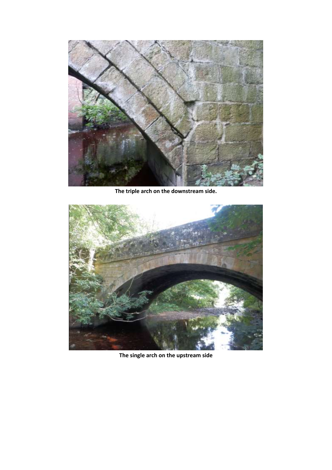

**The triple arch on the downstream side.**



**The single arch on the upstream side**